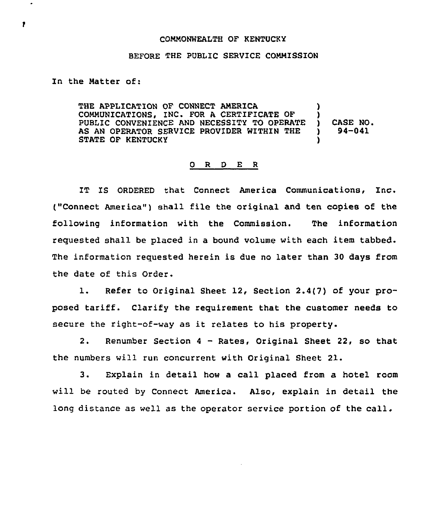## COMMONWEALTH OF KENTUCKY

## BEFORE THE PUBLIC SERVICE COMMISSION

In the Matter of:

THE APPLICATION OF CONNECT AMERICA COMMUNICATIONS, INC. FOR A CERTIFICATE OF PUBLIC CONVENIENCE AND NECESSITY TO OPERATE AS AN OPERATOR SERVICE PROVIDER WITHIN THE STATE OF KENTUCKY ) ) ) CASE NO. ) 94-041 )

## 0 R <sup>D</sup> E <sup>R</sup>

IT IS ORDERED that Connect America Communications, Inc. ("Connect America") shall file the original and ten copies of the following information with the Commission. The information requested shall be placed in a bound volume with each item tabbed. The information requested herein is due no later than 30 days from the date of this Order.

1. Refer to Original Sheet 12, Section 2.4(7) of your proposed tariff. Clarify the requirement that the customer needs to secure the right-of-way as it relates to his property.

2. Renumber Section <sup>4</sup> —Rates, Original Sheet 22, so that the numbers will run concurrent with Original Sheet 21.

3. Explain in detail how a call placed from a hotel room will be routed by Connect America. Also, explain in detail the long distance as well as the operator service portion of the call.

,